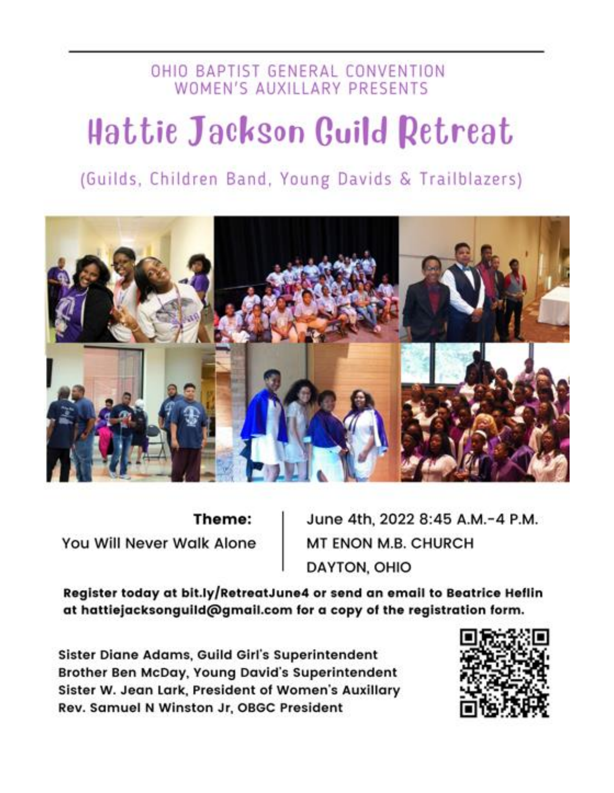### OHIO BAPTIST GENERAL CONVENTION WOMEN'S AUXILLARY PRESENTS

# Hattie Jackson Guild Retreat

## (Guilds, Children Band, Young Davids & Trailblazers)



Theme: You Will Never Walk Alone June 4th, 2022 8:45 A.M.-4 P.M. MT ENON M.B. CHURCH DAYTON, OHIO

Register today at bit.ly/RetreatJune4 or send an email to Beatrice Heflin at hattiejacksonguild@gmail.com for a copy of the registration form.

Sister Diane Adams, Guild Girl's Superintendent Brother Ben McDay, Young David's Superintendent Sister W. Jean Lark, President of Women's Auxillary Rev. Samuel N Winston Jr, OBGC President

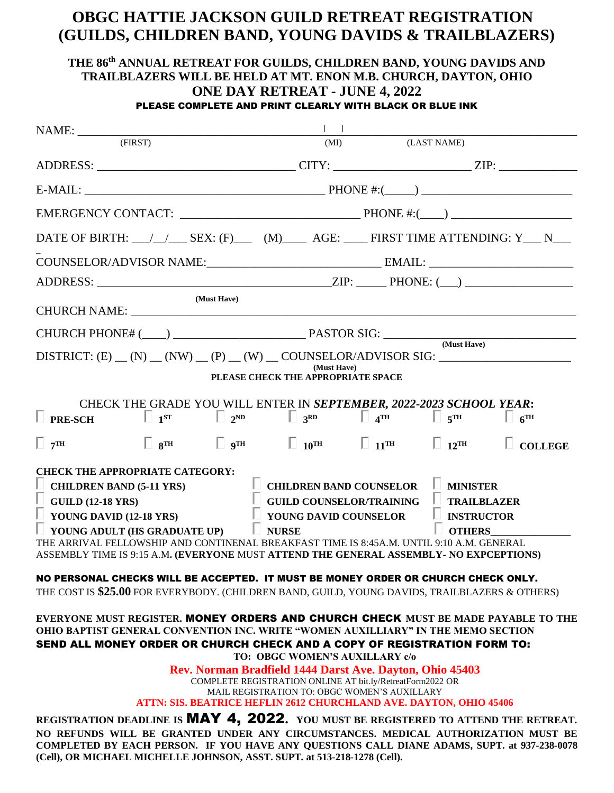#### **OBGC HATTIE JACKSON GUILD RETREAT REGISTRATION (GUILDS, CHILDREN BAND, YOUNG DAVIDS & TRAILBLAZERS)**

#### **THE 86 th ANNUAL RETREAT FOR GUILDS, CHILDREN BAND, YOUNG DAVIDS AND TRAILBLAZERS WILL BE HELD AT MT. ENON M.B. CHURCH, DAYTON, OHIO ONE DAY RETREAT - JUNE 4, 2022** PLEASE COMPLETE AND PRINT CLEARLY WITH BLACK OR BLUE INK

| $\text{NAME:}\underbrace{\hspace{2.5cm}}_{\text{(FIRST)}}$                                                                                                                                                                                                                                                                                                                             |                                                                                                                   |  |                                                          |                          |  |
|----------------------------------------------------------------------------------------------------------------------------------------------------------------------------------------------------------------------------------------------------------------------------------------------------------------------------------------------------------------------------------------|-------------------------------------------------------------------------------------------------------------------|--|----------------------------------------------------------|--------------------------|--|
|                                                                                                                                                                                                                                                                                                                                                                                        | (MI)                                                                                                              |  | (LAST NAME)                                              |                          |  |
|                                                                                                                                                                                                                                                                                                                                                                                        |                                                                                                                   |  |                                                          |                          |  |
|                                                                                                                                                                                                                                                                                                                                                                                        |                                                                                                                   |  |                                                          |                          |  |
|                                                                                                                                                                                                                                                                                                                                                                                        |                                                                                                                   |  |                                                          |                          |  |
| DATE OF BIRTH: __/_/___ SEX: (F)___ (M)____ AGE: ____ FIRST TIME ATTENDING: Y___ N___                                                                                                                                                                                                                                                                                                  |                                                                                                                   |  |                                                          |                          |  |
|                                                                                                                                                                                                                                                                                                                                                                                        |                                                                                                                   |  |                                                          |                          |  |
|                                                                                                                                                                                                                                                                                                                                                                                        |                                                                                                                   |  |                                                          |                          |  |
| (Must Have)                                                                                                                                                                                                                                                                                                                                                                            |                                                                                                                   |  |                                                          |                          |  |
|                                                                                                                                                                                                                                                                                                                                                                                        |                                                                                                                   |  |                                                          |                          |  |
| DISTRICT: $(E)$ $(N)$ $(NW)$ $(Q)$ $(N)$ $(N)$ $(NW)$ $(COUNSELOR/ADVISOR SIG:$                                                                                                                                                                                                                                                                                                        |                                                                                                                   |  |                                                          |                          |  |
| (Must Have)<br>PLEASE CHECK THE APPROPRIATE SPACE                                                                                                                                                                                                                                                                                                                                      |                                                                                                                   |  |                                                          |                          |  |
| CHECK THE GRADE YOU WILL ENTER IN SEPTEMBER, 2022-2023 SCHOOL YEAR:<br>$\Box$ PRE-SCH $\Box$ 1 <sup>ST</sup> $\Box$ 2 <sup>ND</sup> $\Box$ 3 <sup>RD</sup> $\Box$ 4 <sup>TH</sup> $\Box$ 5 <sup>TH</sup> $\Box$ 6 <sup>TH</sup>                                                                                                                                                        |                                                                                                                   |  |                                                          |                          |  |
| $\Box$ $8^{TH}$ $\Box$ $9^{TH}$ $\Box$ $10^{TH}$ $\Box$ $11^{TH}$ $\Box$ $12^{TH}$<br>$\Box$ 7 <sup>TH</sup>                                                                                                                                                                                                                                                                           |                                                                                                                   |  |                                                          | $\Box$<br><b>COLLEGE</b> |  |
| <b>CHECK THE APPROPRIATE CATEGORY:</b><br>$\Box$ CHILDREN BAND (5-11 YRS)<br>$\Box$ GUILD (12-18 YRS)<br>$\perp$ YOUNG DAVID (12-18 YRS)<br>$\Box$ NURSE<br>$\perp$ YOUNG ADULT (HS GRADUATE UP)<br>THE ARRIVAL FELLOWSHIP AND CONTINENAL BREAKFAST TIME IS 8:45A.M. UNTIL 9:10 A.M. GENERAL<br>ASSEMBLY TIME IS 9:15 A.M. (EVERYONE MUST ATTEND THE GENERAL ASSEMBLY- NO EXPCEPTIONS) | $\Box$ CHILDREN BAND COUNSELOR $\Box$ MINISTER<br>$\Box$ GUILD COUNSELOR/TRAINING<br>$\Box$ YOUNG DAVID COUNSELOR |  | $\Box$ TRAILBLAZER<br>$\Box$ INSTRUCTOR<br><b>OTHERS</b> |                          |  |
| NO PERSONAL CHECKS WILL BE ACCEPTED. IT MUST BE MONEY ORDER OR CHURCH CHECK ONLY.                                                                                                                                                                                                                                                                                                      |                                                                                                                   |  |                                                          |                          |  |
| THE COST IS \$25.00 FOR EVERYBODY. (CHILDREN BAND, GUILD, YOUNG DAVIDS, TRAILBLAZERS & OTHERS)                                                                                                                                                                                                                                                                                         |                                                                                                                   |  |                                                          |                          |  |
| EVERYONE MUST REGISTER. MONEY ORDERS AND CHURCH CHECK MUST BE MADE PAYABLE TO THE<br>OHIO BAPTIST GENERAL CONVENTION INC. WRITE "WOMEN AUXILLIARY" IN THE MEMO SECTION<br>SEND ALL MONEY ORDER OR CHURCH CHECK AND A COPY OF REGISTRATION FORM TO:<br>TO: OBGC WOMEN'S AUXILLARY c/o                                                                                                   |                                                                                                                   |  |                                                          |                          |  |
| Rev. Norman Bradfield 1444 Darst Ave. Dayton, Ohio 45403                                                                                                                                                                                                                                                                                                                               |                                                                                                                   |  |                                                          |                          |  |
| COMPLETE REGISTRATION ONLINE AT bit.ly/RetreatForm2022 OR<br>MAIL REGISTRATION TO: OBGC WOMEN'S AUXILLARY                                                                                                                                                                                                                                                                              |                                                                                                                   |  |                                                          |                          |  |
| <b>ATTN: SIS. BEATRICE HEFLIN 2612 CHURCHLAND AVE. DAYTON, OHIO 45406</b>                                                                                                                                                                                                                                                                                                              |                                                                                                                   |  |                                                          |                          |  |
| REGISTRATION DEADLINE IS MAY 4, 2022. YOU MUST BE REGISTERED TO ATTEND THE RETREAT.<br>NO REFUNDS WILL BE GRANTED UNDER ANY CIRCUMSTANCES. MEDICAL AUTHORIZATION MUST BE<br>COMPLETED BY EACH PERSON. IF YOU HAVE ANY QUESTIONS CALL DIANE ADAMS, SUPT. at 937-238-0078<br>(Cell), OR MICHAEL MICHELLE JOHNSON, ASST. SUPT. at 513-218-1278 (Cell).                                    |                                                                                                                   |  |                                                          |                          |  |